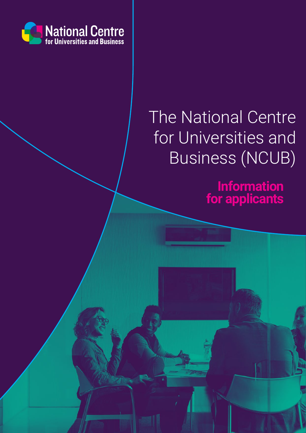

# The National Centre for Universities and Business (NCUB)

**Information for applicants**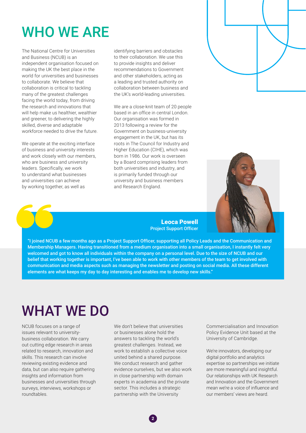# WHO WE ARE

The National Centre for Universities and Business (NCUB) is an independent organisation focused on making the UK the best place in the world for universities and businesses to collaborate. We believe that collaboration is critical to tackling many of the greatest challenges facing the world today, from driving the research and innovations that will help make us healthier, wealthier and greener, to delivering the highly skilled, diverse and adaptable workforce needed to drive the future.

We operate at the exciting interface of business and university interests and work closely with our members, who are business and university leaders. Specifically, we work to understand what businesses and universities can achieve by working together, as well as

identifying barriers and obstacles to their collaboration. We use this to provide insights and deliver recommendations to Government and other stakeholders, acting as a leading and trusted authority on collaboration between business and the UK's world-leading universities.

We are a close-knit team of 20 people based in an office in central London. Our organisation was formed in 2013 following a review for the Government on business-university engagement in the UK, but has its roots in The Council for Industry and Higher Education (CIHE), which was born in 1986. Our work is overseen by a Board comprising leaders from both universities and industry, and is primarily funded through our university and business members and Research England.



Leoca Powell Project Support Officer

"I joined NCUB a few months ago as a Project Support Officer, supporting all Policy Leads and the Communication and Membership Managers. Having transitioned from a medium organisation into a small organisation, I instantly felt very welcomed and got to know all individuals within the company on a personal level. Due to the size of NCUB and our belief that working together is important, I've been able to work with other members of the team to get involved with communication and media aspects such as managing the newsletter and posting on social media. All these different elements are what keeps my day to day interesting and enables me to develop new skills."

## WHAT WE DO

NCUB focuses on a range of issues relevant to universitybusiness collaboration. We carry out cutting edge research in areas related to research, innovation and skills. This research can involve reviewing existing evidence and data, but can also require gathering insights and information from businesses and universities through surveys, interviews, workshops or roundtables.

We don't believe that universities or businesses alone hold the answers to tackling the world's greatest challenges. Instead, we work to establish a collective voice united behind a shared purpose. We conduct research and gather evidence ourselves, but we also work in close partnership with domain experts in academia and the private sector. This includes a strategic partnership with the University

Commercialisation and Innovation Policy Evidence Unit based at the University of Cambridge.

We're innovators, developing our digital portfolio and analytics expertise so partnerships we initiate are more meaningful and insightful. Our relationships with UK Research and Innovation and the Government mean we're a voice of influence and our members' views are heard.

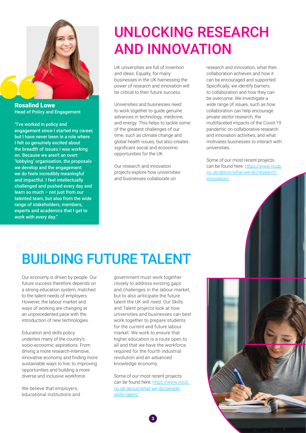

Rosalind Lowe Head of Policy and Engagement

"I've worked in policy and engagement since I started my career, but I have never been in a role where I felt so genuinely excited about the breadth of issues I was working on. Because we aren't an overt 'lobbying' organisation, the proposals we develop and the engagement we do feels incredibly meaningful and impactful. I feel intellectually challenged and pushed every day and learn so much – not just from our talented team, but also from the wide range of stakeholders, members, experts and academics that I get to work with every day."

## UNLOCKING RESEARCH AND INNOVATION

UK universities are full of invention and ideas. Equally, for many businesses in the UK harnessing the power of research and innovation will be critical to their future success.

Universities and businesses need to work together to guide genuine advances in technology, medicine, and energy. This helps to tackle some of the greatest challenges of our time, such as climate change and global health issues, but also creates significant social and economic opportunities for the UK.

Our research and innovation projects explore how universities and businesses collaborate on

research and innovation, what their collaboration achieves and how it can be encouraged and supported. Specifically, we identify barriers to collaboration and how they can be overcome. We investigate a wide range of issues, such as how collaboration can help encourage private sector research, the multifaceted impacts of the Covid-19 pandemic on collaborative research and innovation activities, and what motivates businesses to interact with universities.

Some of our most recent projects can be found here: [https://www.ncub.](https://www.ncub.co.uk/about/what-we-do/research-innovation/) [co.uk/about/what-we-do/research](https://www.ncub.co.uk/about/what-we-do/research-innovation/)[innovation/](https://www.ncub.co.uk/about/what-we-do/research-innovation/)

# BUILDING FUTURE TALENT

Our economy is driven by people. Our future success therefore depends on a strong education system, matched to the talent needs of employers. However, the labour market and ways of working are changing at an unprecedented pace with the introduction of new technologies.

Education and skills policy underlies many of the country's socio-economic aspirations. From driving a more research-intensive, innovative economy and finding more sustainable ways to live, to improving opportunities and building a more diverse and inclusive workforce.

We believe that employers, educational institutions and

government must work together closely to address existing gaps and challenges in the labour market, but to also anticipate the future talent the UK will need. Our Skills and Talent projects look at how universities and businesses can best work together to prepare students for the current and future labour market. We work to ensure that higher education is a route open to all and that we have the workforce required for the fourth industrial revolution and an advanced knowledge economy.

Some of our most recent projects can be found here: [https://www.ncub.](https://www.ncub.co.uk/about/what-we-do/people-skills-talent/) [co.uk/about/what-we-do/people](https://www.ncub.co.uk/about/what-we-do/people-skills-talent/)[skills-talent/](https://www.ncub.co.uk/about/what-we-do/people-skills-talent/)



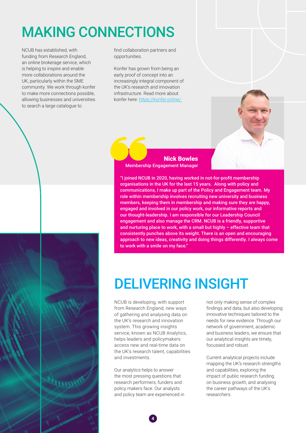# MAKING CONNECTIONS

NCUB has established, with funding from Research England, an online brokerage service, which is helping to inspire and enable more collaborations around the UK, particularly within the SME community. We work through konfer to make more connections possible, allowing businesses and universities to search a large catalogue to

find collaboration partners and opportunities.

Konfer has grown from being an early proof of concept into an increasingly integral component of the UK's research and innovation infrastructure. Read more about konfer here: [https://konfer.online/](https://konfer.online/ ) 



Nick Bowles Membership Engagement Manager

"I joined NCUB in 2020, having worked in not-for-profit membership organisations in the UK for the last 15 years. Along with policy and communications, I make up part of the Policy and Engagement team. My role within membership involves recruiting new university and business members, keeping them in membership and making sure they are happy, engaged and involved in our policy work, our informative reports and our thought-leadership. I am responsible for our Leadership Council engagement and also manage the CRM. NCUB is a friendly, supportive and nurturing place to work, with a small but highly – effective team that consistently punches above its weight. There is an open and encouraging approach to new ideas, creativity and doing things differently. I always come to work with a smile on my face."

#### DELIVERING INSIGHT

NCUB is developing, with support from Research England, new ways of gathering and analysing data on the UK's research and innovation system. This growing insights service, known as NCUB Analytics, helps leaders and policymakers access new and real-time data on the UK's research talent, capabilities and investments.

Our analytics helps to answer the most pressing questions that research performers, funders and policy makers face. Our analysts and policy team are experienced in

**4**

not only making sense of complex findings and data, but also developing innovative techniques tailored to the needs for new evidence. Through our network of government, academic and business leaders, we ensure that our analytical insights are timely, focussed and robust.

Current analytical projects include mapping the UK's research strengths and capabilities, exploring the impact of public research funding on business growth, and analysing the career pathways of the UK's researchers.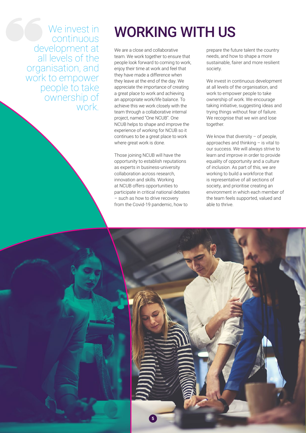We invest in continuous development at all levels of the organisation, and work to empower people to take ownership of work.

#### WORKING WITH US

We are a close and collaborative team. We work together to ensure that people look forward to coming to work, enjoy their time at work and feel that they have made a difference when they leave at the end of the day. We appreciate the importance of creating a great place to work and achieving an appropriate work/life balance. To achieve this we work closely with the team through a collaborative internal project, named "One NCUB". One NCUB helps to shape and improve the experience of working for NCUB so it continues to be a great place to work where great work is done.

Those joining NCUB will have the opportunity to establish reputations as experts in business-university collaboration across research, innovation and skills. Working at NCUB offers opportunities to participate in critical national debates – such as how to drive recovery from the Covid-19 pandemic, how to

prepare the future talent the country needs, and how to shape a more sustainable, fairer and more resilient society.

We invest in continuous development at all levels of the organisation, and work to empower people to take ownership of work. We encourage taking initiative, suggesting ideas and trying things without fear of failure. We recognise that we win and lose together.

We know that diversity – of people, approaches and thinking – is vital to our success. We will always strive to learn and improve in order to provide equality of opportunity and a culture of inclusion. As part of this, we are working to build a workforce that is representative of all sections of society, and prioritise creating an environment in which each member of the team feels supported, valued and able to thrive.